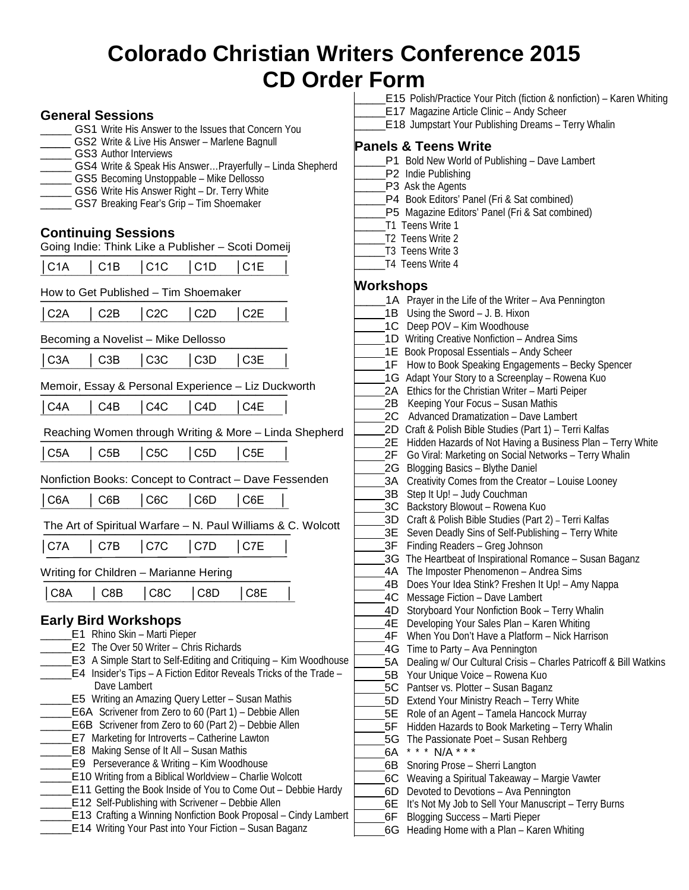# **Colorado Christian Writers Conference 2015 CD Orde**

### **General Sessions**

- GS1 Write His Answer to the Issues that Concern You
- GS2 Write & Live His Answer Marlene Bagnull
- GS3 Author Interviews
- GS4 Write & Speak His Answer...Prayerfully Linda Shepherd
- GS5 Becoming Unstoppable Mike Dellosso
- GS6 Write His Answer Right Dr. Terry White
- GS7 Breaking Fear's Grip Tim Shoemaker

### **Continuing Sessions**

|     |                                                                                                                     |  | Going Indie: Think Like a Publisher - Scoti Domeij                               |  |
|-----|---------------------------------------------------------------------------------------------------------------------|--|----------------------------------------------------------------------------------|--|
| . . | and the contract of the contract of the contract of the contract of the contract of the contract of the contract of |  | ,我们也不会有什么。""我们,我们也不会有什么?""我们,我们也不会有什么?""我们,我们也不会有什么?""我们,我们也不会有什么?""我们,我们也不会有什么? |  |

│C1A │ C1B │C1C │C1D │C1E │

¯¯¯¯¯¯¯¯¯¯¯¯¯¯¯¯¯¯¯¯¯¯¯¯¯¯¯¯¯¯¯¯¯¯¯¯¯¯¯¯ How to Get Published – Tim Shoemaker

|  |  | C2A   C2B   C2C   C2D   C2E |
|--|--|-----------------------------|
|  |  |                             |

Becoming a Novelist – Mike Dellosso<br>| C3A | C3B | C3C | C3D | C3E │C3A │ C3B │C3C │C3D │C3E │

## ¯¯¯¯¯¯¯¯¯¯¯¯¯¯¯¯¯¯¯¯¯¯¯¯¯¯¯¯¯¯¯¯¯¯¯¯¯¯¯¯ Memoir, Essay & Personal Experience – Liz Duckworth<br>  $\begin{array}{|l|l|}\n\hline\n\text{1 C4A} & \text{1 C4B} & \text{1 C4C} & \text{1 C4D} & \text{1 C4E}\n\hline\n\end{array}$

│C4A │ C4B │C4C │C4D │C4E │

¯¯¯¯¯¯¯¯¯¯¯¯¯¯¯¯¯¯¯¯¯¯¯¯¯¯¯¯¯¯¯¯¯¯¯¯¯¯¯ Reaching Women through Writing & More – Linda Shepherd

│C5A │ C5B │C5C │C5D │C5E │

#### ¯¯¯¯¯¯¯¯¯¯¯¯¯¯¯¯¯¯¯¯¯¯¯¯¯¯¯¯¯¯¯¯¯¯¯¯¯¯¯¯ Nonfiction Books: Concept to Contract – Dave Fessenden

│C6A │ C6B │C6C │C6D │C6E │

## ¯¯¯¯¯¯¯¯¯¯¯¯¯¯¯¯¯¯¯¯¯¯¯¯¯¯¯¯¯¯¯¯¯¯¯¯¯¯¯¯ The Art of Spiritual Warfare – N. Paul Williams & C. Wolcott<br>| C7A | C7B | C7C | C7D | C7E |

│C7A │ C7B │C7C │C7D │C7E │

Writing for Children – Marianne Hering

|  |  | $ C8A $ $ C8B $ $ C8C $ $ C8D $ $ C8E $ |  |
|--|--|-----------------------------------------|--|
|  |  |                                         |  |

### **Early Bird Workshops**

- E1 Rhino Skin Marti Pieper
- E2 The Over 50 Writer Chris Richards
- **E3** A Simple Start to Self-Editing and Critiquing Kim Woodhous \_\_\_\_\_E4 Insider's Tips – A Fiction Editor Reveals Tricks of the Trade – Dave Lambert \_\_\_\_\_E5 Writing an Amazing Query Letter – Susan Mathis
- E6A Scrivener from Zero to 60 (Part 1) Debbie Allen
- E6B Scrivener from Zero to 60 (Part 2) Debbie Allen
- E7 Marketing for Introverts Catherine Lawton
- \_\_\_\_\_E8 Making Sense of It All Susan Mathis
- \_\_\_\_\_E9 Perseverance & Writing Kim Woodhouse
- **E10 Writing from a Biblical Worldview Charlie Wolcott**
- **E11 Getting the Book Inside of You to Come Out Debbie Hardy**
- \_\_\_\_\_E12 Self-Publishing with Scrivener Debbie Allen
- E13 Crafting a Winning Nonfiction Book Proposal Cindy Lambert \_\_\_\_\_E14 Writing Your Past into Your Fiction – Susan Baganz

|   | er Form   |                                                                                                     |
|---|-----------|-----------------------------------------------------------------------------------------------------|
|   |           | <b>E15</b> Polish/Practice Your Pitch (fiction & nonfiction) – Karen Whiting                        |
|   |           | E17 Magazine Article Clinic - Andy Scheer                                                           |
|   |           | E18 Jumpstart Your Publishing Dreams - Terry Whalin                                                 |
|   |           |                                                                                                     |
|   |           | <b>Panels &amp; Teens Write</b>                                                                     |
|   |           | P1 Bold New World of Publishing - Dave Lambert                                                      |
|   |           | P2 Indie Publishing                                                                                 |
|   |           | P3 Ask the Agents                                                                                   |
|   |           | P4 Book Editors' Panel (Fri & Sat combined)                                                         |
|   |           | P5 Magazine Editors' Panel (Fri & Sat combined)<br>T1 Teens Write 1                                 |
|   |           | T2 Teens Write 2                                                                                    |
|   |           | T3 Teens Write 3                                                                                    |
|   |           | T4 Teens Write 4                                                                                    |
|   |           |                                                                                                     |
|   | Workshops |                                                                                                     |
|   |           | 1A Prayer in the Life of the Writer - Ava Pennington                                                |
|   | 1B        | Using the Sword - J. B. Hixon                                                                       |
|   | 1C        | Deep POV - Kim Woodhouse                                                                            |
|   |           | 1D Writing Creative Nonfiction - Andrea Sims                                                        |
|   |           | 1E Book Proposal Essentials - Andy Scheer                                                           |
|   |           | 1F How to Book Speaking Engagements - Becky Spencer                                                 |
|   |           | 1G Adapt Your Story to a Screenplay - Rowena Kuo                                                    |
|   |           | 2A Ethics for the Christian Writer - Marti Peiper                                                   |
|   |           | 2B Keeping Your Focus - Susan Mathis<br>2C Advanced Dramatization - Dave Lambert                    |
|   |           | 2D Craft & Polish Bible Studies (Part 1) - Terri Kalfas                                             |
|   | 2E        | Hidden Hazards of Not Having a Business Plan - Terry White                                          |
|   | 2F        | Go Viral: Marketing on Social Networks - Terry Whalin                                               |
|   | 2G        | Blogging Basics - Blythe Daniel                                                                     |
|   | ЗA        | Creativity Comes from the Creator - Louise Looney                                                   |
|   | 3B        | Step It Up! - Judy Couchman                                                                         |
|   | 3C        | Backstory Blowout - Rowena Kuo                                                                      |
|   | 3D        | Craft & Polish Bible Studies (Part 2) - Terri Kalfas                                                |
|   | 3E        | Seven Deadly Sins of Self-Publishing - Terry White                                                  |
|   | 3F        | Finding Readers - Greg Johnson                                                                      |
|   |           | 3G The Heartbeat of Inspirational Romance - Susan Baganz                                            |
|   | 4A        | The Imposter Phenomenon - Andrea Sims                                                               |
|   | 4B        | Does Your Idea Stink? Freshen It Up! - Amy Nappa                                                    |
|   | 4C        | Message Fiction - Dave Lambert                                                                      |
|   | 4D        | Storyboard Your Nonfiction Book - Terry Whalin                                                      |
|   | 4E        | Developing Your Sales Plan - Karen Whiting                                                          |
|   | 4F        | When You Don't Have a Platform - Nick Harrison                                                      |
| е | 4G<br>5A  | Time to Party - Ava Pennington<br>Dealing w/ Our Cultural Crisis - Charles Patricoff & Bill Watkins |
|   | 5B        | Your Unique Voice - Rowena Kuo                                                                      |
|   | 5C        | Pantser vs. Plotter - Susan Baganz                                                                  |
|   | 5D        | Extend Your Ministry Reach - Terry White                                                            |
|   | 5E        | Role of an Agent - Tamela Hancock Murray                                                            |
|   | 5F        | Hidden Hazards to Book Marketing - Terry Whalin                                                     |
|   | 5G        | The Passionate Poet - Susan Rehberg                                                                 |
|   | 6A        | $* * *$<br>$N/A$ * * *                                                                              |
|   | 6В        | Snoring Prose - Sherri Langton                                                                      |
|   | 6C        | Weaving a Spiritual Takeaway - Margie Vawter                                                        |
|   | 6D        | Devoted to Devotions - Ava Pennington                                                               |
|   | 6E        | It's Not My Job to Sell Your Manuscript - Terry Burns                                               |
|   | cЕ.       | Dlogging Cuccocc Morti Dionor                                                                       |

- 6F Blogging Success Marti Pieper
- 6G Heading Home with a Plan Karen Whiting